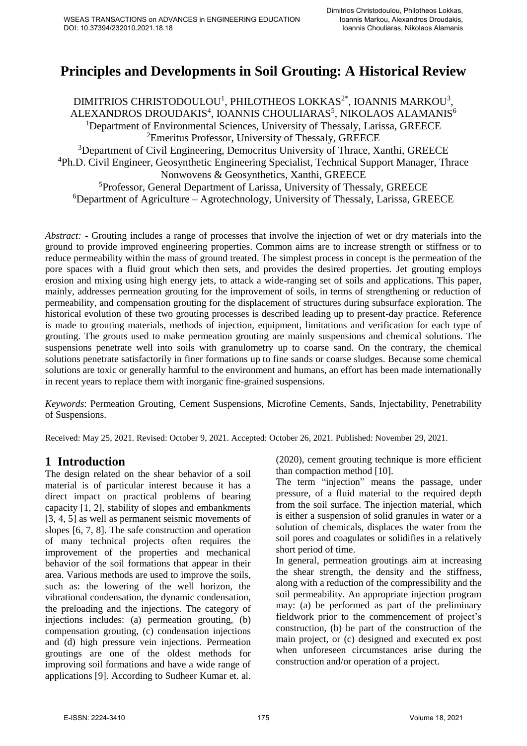# **Principles and Developments in Soil Grouting: A Historical Review**

DIMITRIOS CHRISTODOULOU<sup>1</sup>, PHILOTHEOS LOKKAS<sup>2\*</sup>, IOANNIS MARKOU<sup>3</sup>, ALEXANDROS DROUDAKIS<sup>4</sup>, IOANNIS CHOULIARAS<sup>5</sup>, NIKOLAOS ALAMANIS<sup>6</sup> <sup>1</sup>Department of Environmental Sciences, University of Thessaly, Larissa, GREECE <sup>2</sup>Emeritus Professor, University of Thessaly, GREECE <sup>3</sup>Department of Civil Engineering, Democritus University of Thrace, Xanthi, GREECE <sup>4</sup>Ph.D. Civil Engineer, Geosynthetic Engineering Specialist, Technical Support Manager, Thrace Nonwovens & Geosynthetics, Xanthi, GREECE <sup>5</sup>Professor, General Department of Larissa, University of Thessaly, GREECE  $6$ Department of Agriculture – Agrotechnology, University of Thessaly, Larissa, GREECE

*Abstract:* - Grouting includes a range of processes that involve the injection of wet or dry materials into the ground to provide improved engineering properties. Common aims are to increase strength or stiffness or to reduce permeability within the mass of ground treated. The simplest process in concept is the permeation of the pore spaces with a fluid grout which then sets, and provides the desired properties. Jet grouting employs erosion and mixing using high energy jets, to attack a wide-ranging set of soils and applications. This paper, mainly, addresses permeation grouting for the improvement of soils, in terms of strengthening or reduction of permeability, and compensation grouting for the displacement of structures during subsurface exploration. The historical evolution of these two grouting processes is described leading up to present-day practice. Reference is made to grouting materials, methods of injection, equipment, limitations and verification for each type of grouting. The grouts used to make permeation grouting are mainly suspensions and chemical solutions. The suspensions penetrate well into soils with granulometry up to coarse sand. On the contrary, the chemical solutions penetrate satisfactorily in finer formations up to fine sands or coarse sludges. Because some chemical solutions are toxic or generally harmful to the environment and humans, an effort has been made internationally in recent years to replace them with inorganic fine-grained suspensions.

*Keywords*: Permeation Grouting, Cement Suspensions, Microfine Cements, Sands, Injectability, Penetrability of Suspensions.

Received: May 25, 2021. Revised: October 9, 2021. Accepted: October 26, 2021. Published: November 29, 2021.

## **1 Introduction**

The design related on the shear behavior of a soil material is of particular interest because it has a direct impact on practical problems of bearing capacity [1, 2], stability of slopes and embankments [3, 4, 5] as well as permanent seismic movements of slopes [6, 7, 8]. The safe construction and operation of many technical projects often requires the improvement of the properties and mechanical behavior of the soil formations that appear in their area. Various methods are used to improve the soils, such as: the lowering of the well horizon, the vibrational condensation, the dynamic condensation, the preloading and the injections. The category of injections includes: (a) permeation grouting, (b) compensation grouting, (c) condensation injections and (d) high pressure vein injections. Permeation groutings are one of the oldest methods for improving soil formations and have a wide range of applications [9]. According to Sudheer Kumar et. al. (2020), cement grouting technique is more efficient than compaction method [10].

The term "injection" means the passage, under pressure, of a fluid material to the required depth from the soil surface. The injection material, which is either a suspension of solid granules in water or a solution of chemicals, displaces the water from the soil pores and coagulates or solidifies in a relatively short period of time.

In general, permeation groutings aim at increasing the shear strength, the density and the stiffness, along with a reduction of the compressibility and the soil permeability. An appropriate injection program may: (a) be performed as part of the preliminary fieldwork prior to the commencement of project's construction, (b) be part of the construction of the main project, or (c) designed and executed ex post when unforeseen circumstances arise during the construction and/or operation of a project.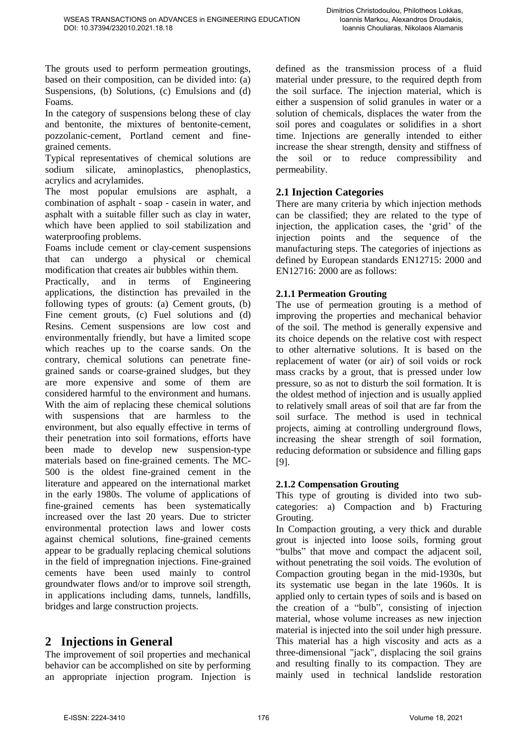The grouts used to perform permeation groutings, based on their composition, can be divided into: (a) Suspensions, (b) Solutions, (c) Emulsions and (d) Foams.

In the category of suspensions belong these of clay and bentonite, the mixtures of bentonite-cement, pozzolanic-cement, Portland cement and finegrained cements.

Typical representatives of chemical solutions are sodium silicate, aminoplastics, phenoplastics, acrylics and acrylamides.

The most popular emulsions are asphalt, a combination of asphalt - soap - casein in water, and asphalt with a suitable filler such as clay in water, which have been applied to soil stabilization and waterproofing problems.

Foams include cement or clay-cement suspensions that can undergo a physical or chemical modification that creates air bubbles within them.

Practically, and in terms of Engineering applications, the distinction has prevailed in the following types of grouts: (a) Cement grouts, (b) Fine cement grouts, (c) Fuel solutions and (d) Resins. Cement suspensions are low cost and environmentally friendly, but have a limited scope which reaches up to the coarse sands. On the contrary, chemical solutions can penetrate finegrained sands or coarse-grained sludges, but they are more expensive and some of them are considered harmful to the environment and humans. With the aim of replacing these chemical solutions with suspensions that are harmless to the environment, but also equally effective in terms of their penetration into soil formations, efforts have been made to develop new suspension-type materials based on fine-grained cements. The MC-500 is the oldest fine-grained cement in the literature and appeared on the international market in the early 1980s. The volume of applications of fine-grained cements has been systematically increased over the last 20 years. Due to stricter environmental protection laws and lower costs against chemical solutions, fine-grained cements appear to be gradually replacing chemical solutions in the field of impregnation injections. Fine-grained cements have been used mainly to control groundwater flows and/or to improve soil strength, in applications including dams, tunnels, landfills, bridges and large construction projects.

# **2 Injections in General**

The improvement of soil properties and mechanical behavior can be accomplished on site by performing an appropriate injection program. Injection is defined as the transmission process of a fluid material under pressure, to the required depth from the soil surface. The injection material, which is either a suspension of solid granules in water or a solution of chemicals, displaces the water from the soil pores and coagulates or solidifies in a short time. Injections are generally intended to either increase the shear strength, density and stiffness of the soil or to reduce compressibility and permeability.

## **2.1 Injection Categories**

There are many criteria by which injection methods can be classified; they are related to the type of injection, the application cases, the 'grid' of the injection points and the sequence of the manufacturing steps. The categories of injections as defined by European standards EN12715: 2000 and EN12716: 2000 are as follows:

## **2.1.1 Permeation Grouting**

The use of permeation grouting is a method of improving the properties and mechanical behavior of the soil. The method is generally expensive and its choice depends on the relative cost with respect to other alternative solutions. It is based on the replacement of water (or air) of soil voids or rock mass cracks by a grout, that is pressed under low pressure, so as not to disturb the soil formation. It is the oldest method of injection and is usually applied to relatively small areas of soil that are far from the soil surface. The method is used in technical projects, aiming at controlling underground flows, increasing the shear strength of soil formation, reducing deformation or subsidence and filling gaps [9].

## **2.1.2 Compensation Grouting**

This type of grouting is divided into two subcategories: a) Compaction and b) Fracturing Grouting.

In Compaction grouting, a very thick and durable grout is injected into loose soils, forming grout "bulbs" that move and compact the adjacent soil, without penetrating the soil voids. The evolution of Compaction grouting began in the mid-1930s, but its systematic use began in the late 1960s. It is applied only to certain types of soils and is based on the creation of a "bulb", consisting of injection material, whose volume increases as new injection material is injected into the soil under high pressure. This material has a high viscosity and acts as a three-dimensional "jack", displacing the soil grains and resulting finally to its compaction. They are mainly used in technical landslide restoration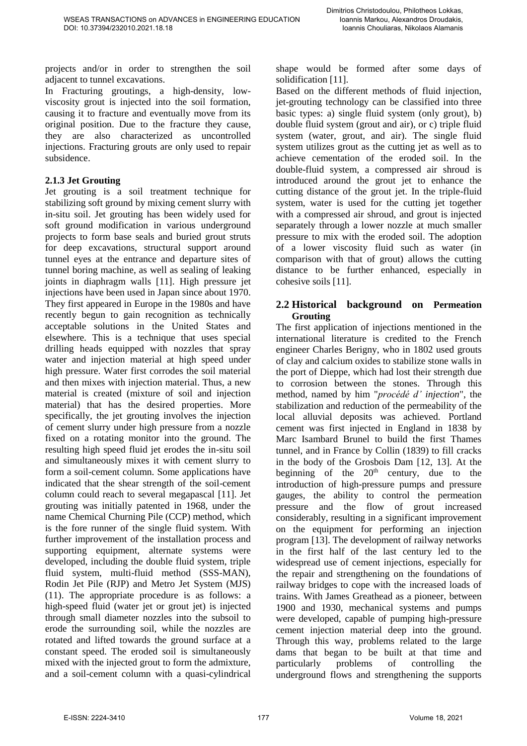projects and/or in order to strengthen the soil adjacent to tunnel excavations.

In Fracturing groutings, a high-density, lowviscosity grout is injected into the soil formation, causing it to fracture and eventually move from its original position. Due to the fracture they cause, they are also characterized as uncontrolled injections. Fracturing grouts are only used to repair subsidence.

#### **2.1.3 Jet Grouting**

Jet grouting is a soil treatment technique for stabilizing soft ground by mixing cement slurry with in-situ soil. Jet grouting has been widely used for soft ground modification in various underground projects to form base seals and buried grout struts for deep excavations, structural support around tunnel eyes at the entrance and departure sites of tunnel boring machine, as well as sealing of leaking joints in diaphragm walls [11]. High pressure jet injections have been used in Japan since about 1970. They first appeared in Europe in the 1980s and have recently begun to gain recognition as technically acceptable solutions in the United States and elsewhere. This is a technique that uses special drilling heads equipped with nozzles that spray water and injection material at high speed under high pressure. Water first corrodes the soil material and then mixes with injection material. Thus, a new material is created (mixture of soil and injection material) that has the desired properties. More specifically, the jet grouting involves the injection of cement slurry under high pressure from a nozzle fixed on a rotating monitor into the ground. The resulting high speed fluid jet erodes the in-situ soil and simultaneously mixes it with cement slurry to form a soil-cement column. Some applications have indicated that the shear strength of the soil-cement column could reach to several megapascal [11]. Jet grouting was initially patented in 1968, under the name Chemical Churning Pile (CCP) method, which is the fore runner of the single fluid system. With further improvement of the installation process and supporting equipment, alternate systems were developed, including the double fluid system, triple fluid system, multi-fluid method (SSS-MAN), Rodin Jet Pile (RJP) and Metro Jet System (MJS) (11). The appropriate procedure is as follows: a high-speed fluid (water jet or grout jet) is injected through small diameter nozzles into the subsoil to erode the surrounding soil, while the nozzles are rotated and lifted towards the ground surface at a constant speed. The eroded soil is simultaneously mixed with the injected grout to form the admixture, and a soil-cement column with a quasi-cylindrical shape would be formed after some days of solidification [11].

Based on the different methods of fluid injection, jet-grouting technology can be classified into three basic types: a) single fluid system (only grout), b) double fluid system (grout and air), or c) triple fluid system (water, grout, and air). The single fluid system utilizes grout as the cutting jet as well as to achieve cementation of the eroded soil. In the double-fluid system, a compressed air shroud is introduced around the grout jet to enhance the cutting distance of the grout jet. In the triple-fluid system, water is used for the cutting jet together with a compressed air shroud, and grout is injected separately through a lower nozzle at much smaller pressure to mix with the eroded soil. The adoption of a lower viscosity fluid such as water (in comparison with that of grout) allows the cutting distance to be further enhanced, especially in cohesive soils [11].

#### **2.2 Historical background on Permeation Grouting**

The first application of injections mentioned in the international literature is credited to the French engineer Charles Berigny, who in 1802 used grouts of clay and calcium oxides to stabilize stone walls in the port of Dieppe, which had lost their strength due to corrosion between the stones. Through this method, named by him "*procédé d' injection*", the stabilization and reduction of the permeability of the local alluvial deposits was achieved. Portland cement was first injected in England in 1838 by Marc Isambard Brunel to build the first Thames tunnel, and in France by Collin (1839) to fill cracks in the body of the Grosbois Dam [12, 13]. At the beginning of the  $20<sup>th</sup>$  century, due to the introduction of high-pressure pumps and pressure gauges, the ability to control the permeation pressure and the flow of grout increased considerably, resulting in a significant improvement on the equipment for performing an injection program [13]. The development of railway networks in the first half of the last century led to the widespread use of cement injections, especially for the repair and strengthening on the foundations of railway bridges to cope with the increased loads of trains. With James Greathead as a pioneer, between 1900 and 1930, mechanical systems and pumps were developed, capable of pumping high-pressure cement injection material deep into the ground. Through this way, problems related to the large dams that began to be built at that time and particularly problems of controlling the underground flows and strengthening the supports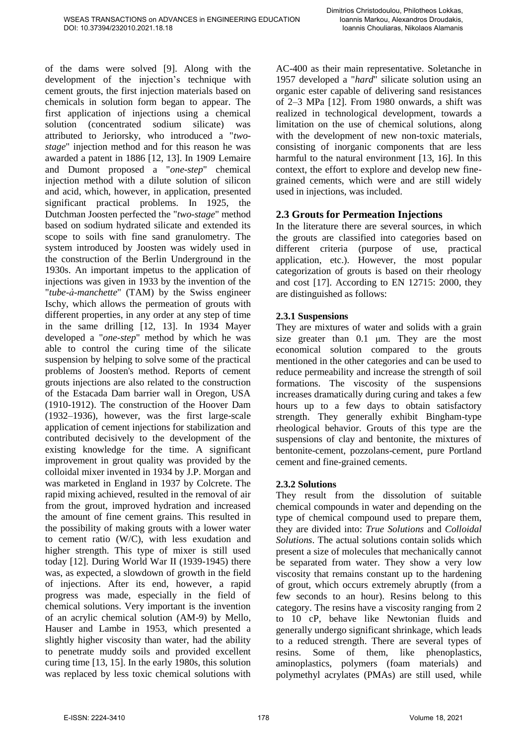of the dams were solved [9]. Along with the development of the injection's technique with cement grouts, the first injection materials based on chemicals in solution form began to appear. The first application of injections using a chemical solution (concentrated sodium silicate) was attributed to Jeriorsky, who introduced a "*twostage*" injection method and for this reason he was awarded a patent in 1886 [12, 13]. In 1909 Lemaire and Dumont proposed a "*one-step*" chemical injection method with a dilute solution of silicon and acid, which, however, in application, presented significant practical problems. In 1925, the Dutchman Joosten perfected the "*two-stage*" method based on sodium hydrated silicate and extended its scope to soils with fine sand granulometry. The system introduced by Joosten was widely used in the construction of the Berlin Underground in the 1930s. An important impetus to the application of injections was given in 1933 by the invention of the "*tube-à-manchette*" (TAM) by the Swiss engineer Ischy, which allows the permeation of grouts with different properties, in any order at any step of time in the same drilling [12, 13]. In 1934 Mayer developed a "*one-step*" method by which he was able to control the curing time of the silicate suspension by helping to solve some of the practical problems of Joosten's method. Reports of cement grouts injections are also related to the construction of the Estacada Dam barrier wall in Oregon, USA (1910-1912). The construction of the Hoover Dam (1932–1936), however, was the first large-scale application of cement injections for stabilization and contributed decisively to the development of the existing knowledge for the time. A significant improvement in grout quality was provided by the colloidal mixer invented in 1934 by J.P. Morgan and was marketed in England in 1937 by Colcrete. The rapid mixing achieved, resulted in the removal of air from the grout, improved hydration and increased the amount of fine cement grains. This resulted in the possibility of making grouts with a lower water to cement ratio (W/C), with less exudation and higher strength. This type of mixer is still used today [12]. During World War II (1939-1945) there was, as expected, a slowdown of growth in the field of injections. After its end, however, a rapid progress was made, especially in the field of chemical solutions. Very important is the invention of an acrylic chemical solution (AM-9) by Mello, Hauser and Lambe in 1953, which presented a slightly higher viscosity than water, had the ability to penetrate muddy soils and provided excellent curing time [13, 15]. In the early 1980s, this solution was replaced by less toxic chemical solutions with AC-400 as their main representative. Soletanche in 1957 developed a "*hard*" silicate solution using an organic ester capable of delivering sand resistances of 2–3 MPa [12]. From 1980 onwards, a shift was realized in technological development, towards a limitation on the use of chemical solutions, along with the development of new non-toxic materials, consisting of inorganic components that are less harmful to the natural environment [13, 16]. In this context, the effort to explore and develop new finegrained cements, which were and are still widely used in injections, was included.

### **2.3 Grouts for Permeation Injections**

In the literature there are several sources, in which the grouts are classified into categories based on different criteria (purpose of use, practical application, etc.). However, the most popular categorization of grouts is based on their rheology and cost [17]. According to EN 12715: 2000, they are distinguished as follows:

#### **2.3.1 Suspensions**

They are mixtures of water and solids with a grain size greater than 0.1 μm. They are the most economical solution compared to the grouts mentioned in the other categories and can be used to reduce permeability and increase the strength of soil formations. The viscosity of the suspensions increases dramatically during curing and takes a few hours up to a few days to obtain satisfactory strength. They generally exhibit Bingham-type rheological behavior. Grouts of this type are the suspensions of clay and bentonite, the mixtures of bentonite-cement, pozzolans-cement, pure Portland cement and fine-grained cements.

#### **2.3.2 Solutions**

They result from the dissolution of suitable chemical compounds in water and depending on the type of chemical compound used to prepare them, they are divided into: *True Solutions* and *Colloidal Solutions*. The actual solutions contain solids which present a size of molecules that mechanically cannot be separated from water. They show a very low viscosity that remains constant up to the hardening of grout, which occurs extremely abruptly (from a few seconds to an hour). Resins belong to this category. The resins have a viscosity ranging from 2 to 10 cP, behave like Newtonian fluids and generally undergo significant shrinkage, which leads to a reduced strength. There are several types of resins. Some of them, like phenoplastics, aminoplastics, polymers (foam materials) and polymethyl acrylates (PMAs) are still used, while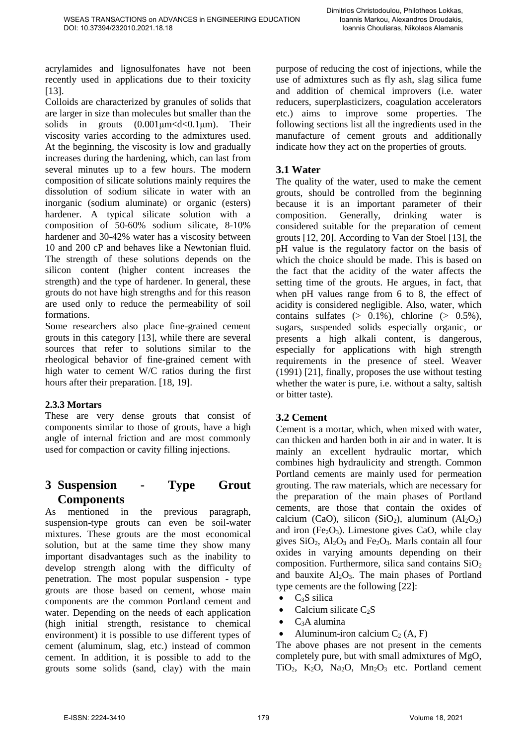acrylamides and lignosulfonates have not been recently used in applications due to their toxicity [13].

Colloids are characterized by granules of solids that are larger in size than molecules but smaller than the solids in grouts  $(0.001 \mu m < d < 0.1 \mu m)$ . Their viscosity varies according to the admixtures used. At the beginning, the viscosity is low and gradually increases during the hardening, which, can last from several minutes up to a few hours. The modern composition of silicate solutions mainly requires the dissolution of sodium silicate in water with an inorganic (sodium aluminate) or organic (esters) hardener. A typical silicate solution with a composition of 50-60% sodium silicate, 8-10% hardener and 30-42% water has a viscosity between 10 and 200 cP and behaves like a Newtonian fluid. The strength of these solutions depends on the silicon content (higher content increases the strength) and the type of hardener. In general, these grouts do not have high strengths and for this reason are used only to reduce the permeability of soil formations.

Some researchers also place fine-grained cement grouts in this category [13], while there are several sources that refer to solutions similar to the rheological behavior of fine-grained cement with high water to cement W/C ratios during the first hours after their preparation. [18, 19].

#### **2.3.3 Mortars**

These are very dense grouts that consist of components similar to those of grouts, have a high angle of internal friction and are most commonly used for compaction or cavity filling injections.

# **3 Suspension - Type Grout Components**

As mentioned in the previous paragraph, suspension-type grouts can even be soil-water mixtures. These grouts are the most economical solution, but at the same time they show many important disadvantages such as the inability to develop strength along with the difficulty of penetration. The most popular suspension - type grouts are those based on cement, whose main components are the common Portland cement and water. Depending on the needs of each application (high initial strength, resistance to chemical environment) it is possible to use different types of cement (aluminum, slag, etc.) instead of common cement. In addition, it is possible to add to the grouts some solids (sand, clay) with the main purpose of reducing the cost of injections, while the use of admixtures such as fly ash, slag silica fume and addition of chemical improvers (i.e. water reducers, superplasticizers, coagulation accelerators etc.) aims to improve some properties. The following sections list all the ingredients used in the manufacture of cement grouts and additionally indicate how they act on the properties of grouts.

## **3.1 Water**

The quality of the water, used to make the cement grouts, should be controlled from the beginning because it is an important parameter of their composition. Generally, drinking water is considered suitable for the preparation of cement grouts [12, 20]. According to Van der Stoel [13], the pH value is the regulatory factor on the basis of which the choice should be made. This is based on the fact that the acidity of the water affects the setting time of the grouts. He argues, in fact, that when pH values range from 6 to 8, the effect of acidity is considered negligible. Also, water, which contains sulfates  $(> 0.1\%)$ , chlorine  $(> 0.5\%)$ . sugars, suspended solids especially organic, or presents a high alkali content, is dangerous, especially for applications with high strength requirements in the presence of steel. Weaver (1991) [21], finally, proposes the use without testing whether the water is pure, i.e. without a salty, saltish or bitter taste).

## **3.2 Cement**

Cement is a mortar, which, when mixed with water, can thicken and harden both in air and in water. It is mainly an excellent hydraulic mortar, which combines high hydraulicity and strength. Common Portland cements are mainly used for permeation grouting. The raw materials, which are necessary for the preparation of the main phases of Portland cements, are those that contain the oxides of calcium (CaO), silicon (SiO<sub>2</sub>), aluminum (Al<sub>2</sub>O<sub>3</sub>) and iron  $(Fe_2O_3)$ . Limestone gives CaO, while clay gives  $SiO_2$ ,  $Al_2O_3$  and  $Fe_2O_3$ . Marls contain all four oxides in varying amounts depending on their composition. Furthermore, silica sand contains SiO<sub>2</sub> and bauxite  $Al_2O_3$ . The main phases of Portland type cements are the following [22]:

- C3S silica
- Calcium silicate  $C_2S$
- C3A alumina
- Aluminum-iron calcium  $C_2(A, F)$

The above phases are not present in the cements completely pure, but with small admixtures of MgO,  $TiO<sub>2</sub>$ ,  $K<sub>2</sub>O$ ,  $Na<sub>2</sub>O$ ,  $Mn<sub>2</sub>O<sub>3</sub>$  etc. Portland cement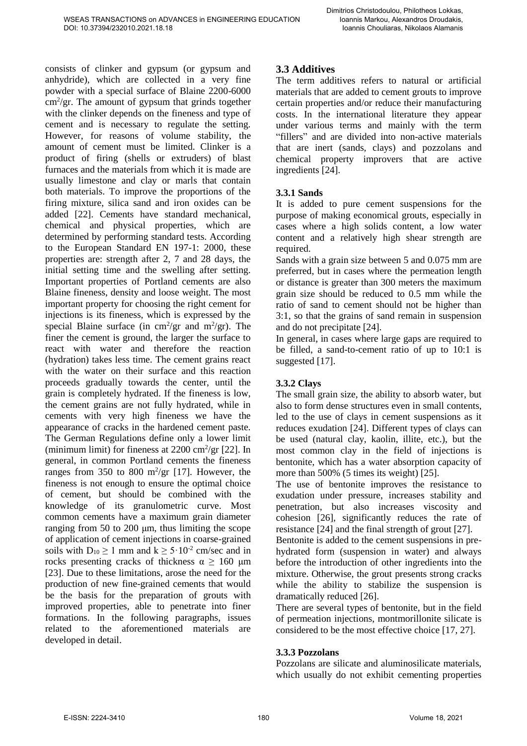consists of clinker and gypsum (or gypsum and anhydride), which are collected in a very fine powder with a special surface of Blaine 2200-6000  $\text{cm}^2/\text{gr}$ . The amount of gypsum that grinds together with the clinker depends on the fineness and type of cement and is necessary to regulate the setting. However, for reasons of volume stability, the amount of cement must be limited. Clinker is a product of firing (shells or extruders) of blast furnaces and the materials from which it is made are usually limestone and clay or marls that contain both materials. To improve the proportions of the firing mixture, silica sand and iron oxides can be added [22]. Cements have standard mechanical, chemical and physical properties, which are determined by performing standard tests. According to the European Standard EN 197-1: 2000, these properties are: strength after 2, 7 and 28 days, the initial setting time and the swelling after setting. Important properties of Portland cements are also Blaine fineness, density and loose weight. The most important property for choosing the right cement for injections is its fineness, which is expressed by the special Blaine surface (in cm<sup>2</sup>/gr and m<sup>2</sup>/gr). The finer the cement is ground, the larger the surface to react with water and therefore the reaction (hydration) takes less time. The cement grains react with the water on their surface and this reaction proceeds gradually towards the center, until the grain is completely hydrated. If the fineness is low, the cement grains are not fully hydrated, while in cements with very high fineness we have the appearance of cracks in the hardened cement paste. The German Regulations define only a lower limit (minimum limit) for fineness at  $2200 \text{ cm}^2/\text{gr}$  [22]. In general, in common Portland cements the fineness ranges from 350 to 800  $\mathrm{m}^2/\mathrm{gr}$  [17]. However, the fineness is not enough to ensure the optimal choice of cement, but should be combined with the knowledge of its granulometric curve. Most common cements have a maximum grain diameter ranging from 50 to 200 μm, thus limiting the scope of application of cement injections in coarse-grained soils with  $D_{10} \ge 1$  mm and  $k \ge 5 \cdot 10^{-2}$  cm/sec and in rocks presenting cracks of thickness  $\alpha \ge 160$  μm [23]. Due to these limitations, arose the need for the production of new fine-grained cements that would be the basis for the preparation of grouts with improved properties, able to penetrate into finer formations. In the following paragraphs, issues related to the aforementioned materials are developed in detail.

## **3.3 Additives**

The term additives refers to natural or artificial materials that are added to cement grouts to improve certain properties and/or reduce their manufacturing costs. In the international literature they appear under various terms and mainly with the term "fillers" and are divided into non-active materials that are inert (sands, clays) and pozzolans and chemical property improvers that are active ingredients [24].

## **3.3.1 Sands**

It is added to pure cement suspensions for the purpose of making economical grouts, especially in cases where a high solids content, a low water content and a relatively high shear strength are required.

Sands with a grain size between 5 and 0.075 mm are preferred, but in cases where the permeation length or distance is greater than 300 meters the maximum grain size should be reduced to 0.5 mm while the ratio of sand to cement should not be higher than 3:1, so that the grains of sand remain in suspension and do not precipitate [24].

In general, in cases where large gaps are required to be filled, a sand-to-cement ratio of up to 10:1 is suggested [17].

## **3.3.2 Clays**

The small grain size, the ability to absorb water, but also to form dense structures even in small contents, led to the use of clays in cement suspensions as it reduces exudation [24]. Different types of clays can be used (natural clay, kaolin, illite, etc.), but the most common clay in the field of injections is bentonite, which has a water absorption capacity of more than 500% (5 times its weight) [25].

The use of bentonite improves the resistance to exudation under pressure, increases stability and penetration, but also increases viscosity and cohesion [26], significantly reduces the rate of resistance [24] and the final strength of grout [27].

Bentonite is added to the cement suspensions in prehydrated form (suspension in water) and always before the introduction of other ingredients into the mixture. Otherwise, the grout presents strong cracks while the ability to stabilize the suspension is dramatically reduced [26].

There are several types of bentonite, but in the field of permeation injections, montmorillonite silicate is considered to be the most effective choice [17, 27].

#### **3.3.3 Pozzolans**

Pozzolans are silicate and aluminosilicate materials, which usually do not exhibit cementing properties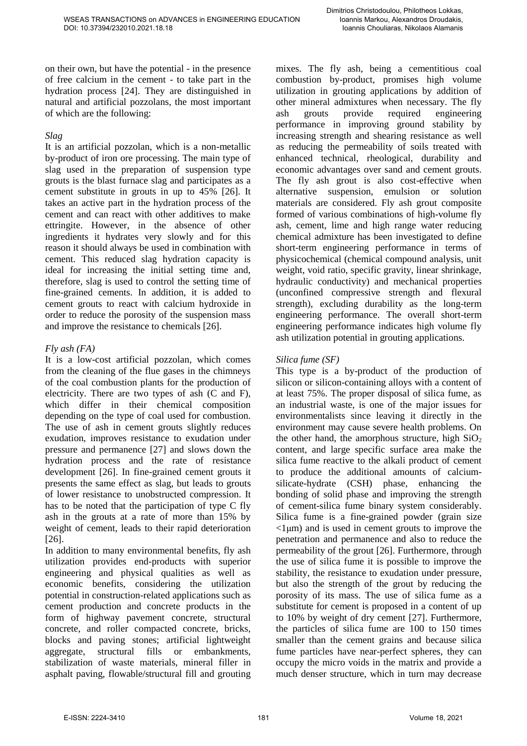on their own, but have the potential - in the presence of free calcium in the cement - to take part in the hydration process [24]. They are distinguished in natural and artificial pozzolans, the most important of which are the following:

#### *Slag*

It is an artificial pozzolan, which is a non-metallic by-product of iron ore processing. The main type of slag used in the preparation of suspension type grouts is the blast furnace slag and participates as a cement substitute in grouts in up to 45% [26]. It takes an active part in the hydration process of the cement and can react with other additives to make ettringite. However, in the absence of other ingredients it hydrates very slowly and for this reason it should always be used in combination with cement. This reduced slag hydration capacity is ideal for increasing the initial setting time and, therefore, slag is used to control the setting time of fine-grained cements. In addition, it is added to cement grouts to react with calcium hydroxide in order to reduce the porosity of the suspension mass and improve the resistance to chemicals [26].

#### *Fly ash (FA)*

It is a low-cost artificial pozzolan, which comes from the cleaning of the flue gases in the chimneys of the coal combustion plants for the production of electricity. There are two types of ash (C and F), which differ in their chemical composition depending on the type of coal used for combustion. The use of ash in cement grouts slightly reduces exudation, improves resistance to exudation under pressure and permanence [27] and slows down the hydration process and the rate of resistance development [26]. In fine-grained cement grouts it presents the same effect as slag, but leads to grouts of lower resistance to unobstructed compression. It has to be noted that the participation of type C fly ash in the grouts at a rate of more than 15% by weight of cement, leads to their rapid deterioration [26].

In addition to many environmental benefits, fly ash utilization provides end-products with superior engineering and physical qualities as well as economic benefits, considering the utilization potential in construction-related applications such as cement production and concrete products in the form of highway pavement concrete, structural concrete, and roller compacted concrete, bricks, blocks and paving stones; artificial lightweight aggregate, structural fills or embankments, stabilization of waste materials, mineral filler in asphalt paving, flowable/structural fill and grouting mixes. The fly ash, being a cementitious coal combustion by-product, promises high volume utilization in grouting applications by addition of other mineral admixtures when necessary. The fly ash grouts provide required engineering performance in improving ground stability by increasing strength and shearing resistance as well as reducing the permeability of soils treated with enhanced technical, rheological, durability and economic advantages over sand and cement grouts. The fly ash grout is also cost-effective when alternative suspension, emulsion or solution materials are considered. Fly ash grout composite formed of various combinations of high-volume fly ash, cement, lime and high range water reducing chemical admixture has been investigated to define short-term engineering performance in terms of physicochemical (chemical compound analysis, unit weight, void ratio, specific gravity, linear shrinkage, hydraulic conductivity) and mechanical properties (unconfined compressive strength and flexural strength), excluding durability as the long-term engineering performance. The overall short-term engineering performance indicates high volume fly ash utilization potential in grouting applications.

#### *Silica fume (SF)*

This type is a by-product of the production of silicon or silicon-containing alloys with a content of at least 75%. The proper disposal of silica fume, as an industrial waste, is one of the major issues for environmentalists since leaving it directly in the environment may cause severe health problems. On the other hand, the amorphous structure, high  $SiO<sub>2</sub>$ content, and large specific surface area make the silica fume reactive to the alkali product of cement to produce the additional amounts of calciumsilicate-hydrate (CSH) phase, enhancing the bonding of solid phase and improving the strength of cement-silica fume binary system considerably. Silica fume is a fine-grained powder (grain size  $\langle$ 1 $\mu$ m) and is used in cement grouts to improve the penetration and permanence and also to reduce the permeability of the grout [26]. Furthermore, through the use of silica fume it is possible to improve the stability, the resistance to exudation under pressure, but also the strength of the grout by reducing the porosity of its mass. The use of silica fume as a substitute for cement is proposed in a content of up to 10% by weight of dry cement [27]. Furthermore, the particles of silica fume are 100 to 150 times smaller than the cement grains and because silica fume particles have near-perfect spheres, they can occupy the micro voids in the matrix and provide a much denser structure, which in turn may decrease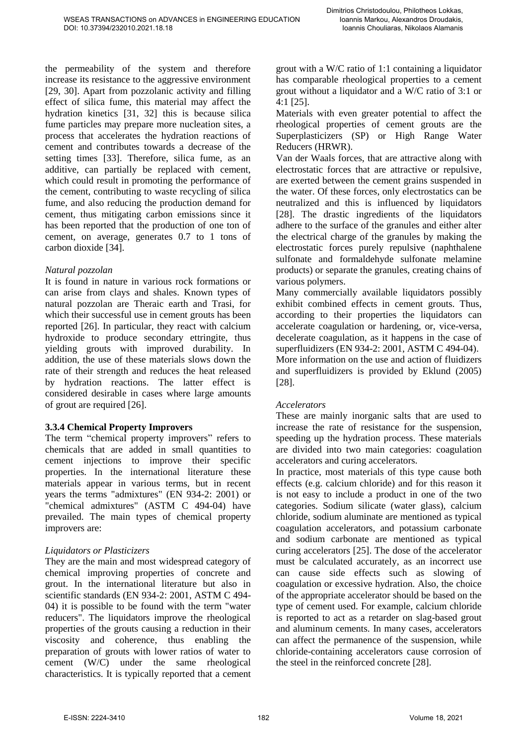the permeability of the system and therefore increase its resistance to the aggressive environment [29, 30]. Apart from pozzolanic activity and filling effect of silica fume, this material may affect the hydration kinetics [31, 32] this is because silica fume particles may prepare more nucleation sites, a process that accelerates the hydration reactions of cement and contributes towards a decrease of the setting times [33]. Therefore, silica fume, as an additive, can partially be replaced with cement, which could result in promoting the performance of the cement, contributing to waste recycling of silica fume, and also reducing the production demand for cement, thus mitigating carbon emissions since it has been reported that the production of one ton of cement, on average, generates 0.7 to 1 tons of carbon dioxide [34].

#### *Natural pozzolan*

It is found in nature in various rock formations or can arise from clays and shales. Known types of natural pozzolan are Theraic earth and Trasi, for which their successful use in cement grouts has been reported [26]. In particular, they react with calcium hydroxide to produce secondary ettringite, thus yielding grouts with improved durability. In addition, the use of these materials slows down the rate of their strength and reduces the heat released by hydration reactions. The latter effect is considered desirable in cases where large amounts of grout are required [26].

#### **3.3.4 Chemical Property Improvers**

The term "chemical property improvers" refers to chemicals that are added in small quantities to cement injections to improve their specific properties. In the international literature these materials appear in various terms, but in recent years the terms "admixtures" (EN 934-2: 2001) or "chemical admixtures" (ASTM C 494-04) have prevailed. The main types of chemical property improvers are:

#### *Liquidators or Plasticizers*

They are the main and most widespread category of chemical improving properties of concrete and grout. In the international literature but also in scientific standards (EN 934-2: 2001, ASTM C 494- 04) it is possible to be found with the term "water reducers". The liquidators improve the rheological properties of the grouts causing a reduction in their viscosity and coherence, thus enabling the preparation of grouts with lower ratios of water to cement (W/C) under the same rheological characteristics. It is typically reported that a cement grout with a W/C ratio of 1:1 containing a liquidator has comparable rheological properties to a cement grout without a liquidator and a W/C ratio of 3:1 or 4:1 [25].

Materials with even greater potential to affect the rheological properties of cement grouts are the Superplasticizers (SP) or High Range Water Reducers (HRWR).

Van der Waals forces, that are attractive along with electrostatic forces that are attractive or repulsive, are exerted between the cement grains suspended in the water. Of these forces, only electrostatics can be neutralized and this is influenced by liquidators [28]. The drastic ingredients of the liquidators adhere to the surface of the granules and either alter the electrical charge of the granules by making the electrostatic forces purely repulsive (naphthalene sulfonate and formaldehyde sulfonate melamine products) or separate the granules, creating chains of various polymers.

Many commercially available liquidators possibly exhibit combined effects in cement grouts. Thus, according to their properties the liquidators can accelerate coagulation or hardening, or, vice-versa, decelerate coagulation, as it happens in the case of superfluidizers (EN 934-2: 2001, ASTM C 494-04). More information on the use and action of fluidizers and superfluidizers is provided by Eklund (2005) [28].

#### *Accelerators*

These are mainly inorganic salts that are used to increase the rate of resistance for the suspension, speeding up the hydration process. These materials are divided into two main categories: coagulation accelerators and curing accelerators.

In practice, most materials of this type cause both effects (e.g. calcium chloride) and for this reason it is not easy to include a product in one of the two categories. Sodium silicate (water glass), calcium chloride, sodium aluminate are mentioned as typical coagulation accelerators, and potassium carbonate and sodium carbonate are mentioned as typical curing accelerators [25]. The dose of the accelerator must be calculated accurately, as an incorrect use can cause side effects such as slowing of coagulation or excessive hydration. Also, the choice of the appropriate accelerator should be based on the type of cement used. For example, calcium chloride is reported to act as a retarder on slag-based grout and aluminum cements. In many cases, accelerators can affect the permanence of the suspension, while chloride-containing accelerators cause corrosion of the steel in the reinforced concrete [28].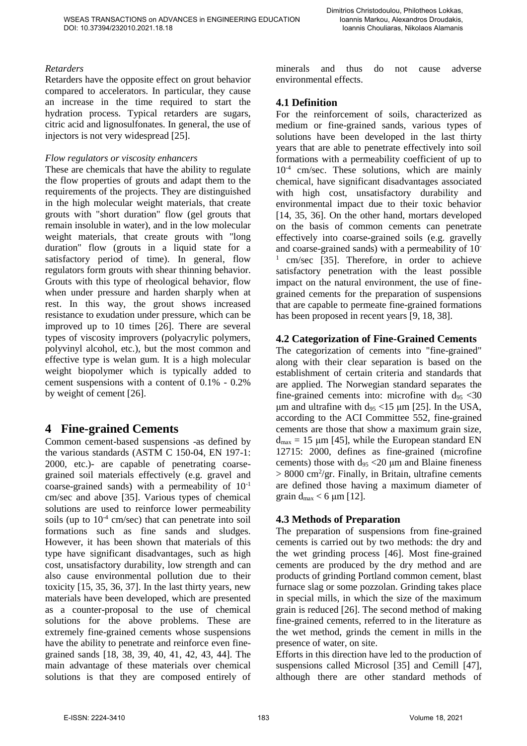#### *Retarders*

Retarders have the opposite effect on grout behavior compared to accelerators. In particular, they cause an increase in the time required to start the hydration process. Typical retarders are sugars, citric acid and lignosulfonates. In general, the use of injectors is not very widespread [25].

#### *Flow regulators or viscosity enhancers*

These are chemicals that have the ability to regulate the flow properties of grouts and adapt them to the requirements of the projects. They are distinguished in the high molecular weight materials, that create grouts with "short duration" flow (gel grouts that remain insoluble in water), and in the low molecular weight materials, that create grouts with "long duration" flow (grouts in a liquid state for a satisfactory period of time). In general, flow regulators form grouts with shear thinning behavior. Grouts with this type of rheological behavior, flow when under pressure and harden sharply when at rest. In this way, the grout shows increased resistance to exudation under pressure, which can be improved up to 10 times [26]. There are several types of viscosity improvers (polyacrylic polymers, polyvinyl alcohol, etc.), but the most common and effective type is welan gum. It is a high molecular weight biopolymer which is typically added to cement suspensions with a content of 0.1% - 0.2% by weight of cement [26].

## **4 Fine-grained Cements**

Common cement-based suspensions -as defined by the various standards (ASTM C 150-04, EN 197-1: 2000, etc.)- are capable of penetrating coarsegrained soil materials effectively (e.g. gravel and coarse-grained sands) with a permeability of  $10^{-1}$ cm/sec and above [35]. Various types of chemical solutions are used to reinforce lower permeability soils (up to  $10^{-4}$  cm/sec) that can penetrate into soil formations such as fine sands and sludges. However, it has been shown that materials of this type have significant disadvantages, such as high cost, unsatisfactory durability, low strength and can also cause environmental pollution due to their toxicity [15, 35, 36, 37]. In the last thirty years, new materials have been developed, which are presented as a counter-proposal to the use of chemical solutions for the above problems. These are extremely fine-grained cements whose suspensions have the ability to penetrate and reinforce even finegrained sands [18, 38, 39, 40, 41, 42, 43, 44]. The main advantage of these materials over chemical solutions is that they are composed entirely of minerals and thus do not cause adverse environmental effects.

### **4.1 Definition**

For the reinforcement of soils, characterized as medium or fine-grained sands, various types of solutions have been developed in the last thirty years that are able to penetrate effectively into soil formations with a permeability coefficient of up to 10-4 cm/sec. These solutions, which are mainly chemical, have significant disadvantages associated with high cost, unsatisfactory durability and environmental impact due to their toxic behavior [14, 35, 36]. On the other hand, mortars developed on the basis of common cements can penetrate effectively into coarse-grained soils (e.g. gravelly and coarse-grained sands) with a permeability of 10- 1 cm/sec [35]. Therefore, in order to achieve satisfactory penetration with the least possible impact on the natural environment, the use of finegrained cements for the preparation of suspensions that are capable to permeate fine-grained formations has been proposed in recent years [9, 18, 38].

### **4.2 Categorization of Fine-Grained Cements**

The categorization of cements into "fine-grained" along with their clear separation is based on the establishment of certain criteria and standards that are applied. The Norwegian standard separates the fine-grained cements into: microfine with  $d_{95}$  < 30 μm and ultrafine with  $d_{95}$  <15 μm [25]. In the USA, according to the ACI Committee 552, fine-grained cements are those that show a maximum grain size,  $d_{\text{max}} = 15 \text{ µm}$  [45], while the European standard EN 12715: 2000, defines as fine-grained (microfine cements) those with  $d_{95}$  <20 µm and Blaine fineness  $> 8000$  cm<sup>2</sup>/gr. Finally, in Britain, ultrafine cements are defined those having a maximum diameter of grain  $d_{max} < 6 \mu m$  [12].

#### **4.3 Methods of Preparation**

The preparation of suspensions from fine-grained cements is carried out by two methods: the dry and the wet grinding process [46]. Most fine-grained cements are produced by the dry method and are products of grinding Portland common cement, blast furnace slag or some pozzolan. Grinding takes place in special mills, in which the size of the maximum grain is reduced [26]. The second method of making fine-grained cements, referred to in the literature as the wet method, grinds the cement in mills in the presence of water, on site.

Efforts in this direction have led to the production of suspensions called Microsol [35] and Cemill [47], although there are other standard methods of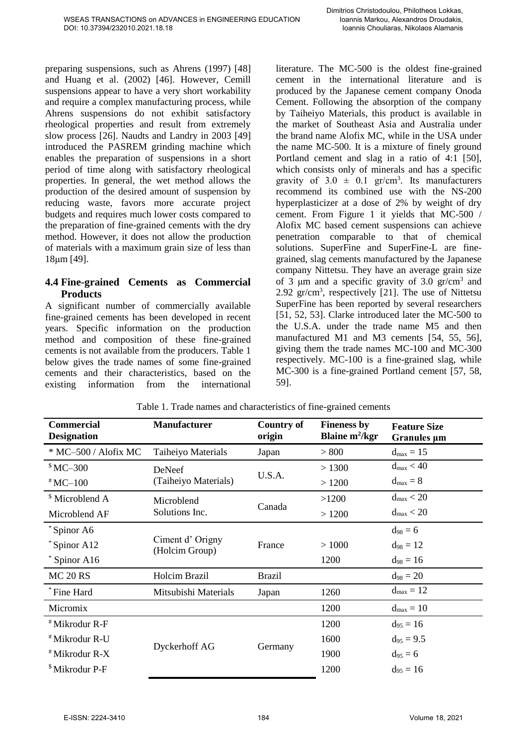preparing suspensions, such as Ahrens (1997) [48] and Huang et al. (2002) [46]. However, Cemill suspensions appear to have a very short workability and require a complex manufacturing process, while Ahrens suspensions do not exhibit satisfactory rheological properties and result from extremely slow process [26]. Naudts and Landry in 2003 [49] introduced the PASREM grinding machine which enables the preparation of suspensions in a short period of time along with satisfactory rheological properties. In general, the wet method allows the production of the desired amount of suspension by reducing waste, favors more accurate project budgets and requires much lower costs compared to the preparation of fine-grained cements with the dry method. However, it does not allow the production of materials with a maximum grain size of less than 18μm [49].

#### **4.4 Fine-grained Cements as Commercial Products**

A significant number of commercially available fine-grained cements has been developed in recent years. Specific information on the production method and composition of these fine-grained cements is not available from the producers. Table 1 below gives the trade names of some fine-grained cements and their characteristics, based on the existing information from the international literature. The MC-500 is the oldest fine-grained cement in the international literature and is produced by the Japanese cement company Onoda Cement. Following the absorption of the company by Taiheiyo Materials, this product is available in the market of Southeast Asia and Australia under the brand name Alofix MC, while in the USA under the name MC-500. It is a mixture of finely ground Portland cement and slag in a ratio of 4:1 [50], which consists only of minerals and has a specific gravity of  $3.0 \pm 0.1$  gr/cm<sup>3</sup>. Its manufacturers recommend its combined use with the NS-200 hyperplasticizer at a dose of 2% by weight of dry cement. From Figure 1 it yields that MC-500 / Alofix MC based cement suspensions can achieve penetration comparable to that of chemical solutions. SuperFine and SuperFine-L are finegrained, slag cements manufactured by the Japanese company Nittetsu. They have an average grain size of 3  $\mu$ m and a specific gravity of 3.0 gr/cm<sup>3</sup> and 2.92 gr/cm<sup>3</sup> , respectively [21]. The use of Nittetsu SuperFine has been reported by several researchers [51, 52, 53]. Clarke introduced later the MC-500 to the U.S.A. under the trade name M5 and then manufactured M1 and M3 cements [54, 55, 56]. giving them the trade names MC-100 and MC-300 respectively. MC-100 is a fine-grained slag, while MC-300 is a fine-grained Portland cement [57, 58, 59].

| <b>Commercial</b><br><b>Designation</b> | <b>Manufacturer</b>               | <b>Country of</b><br>origin | <b>Fineness by</b><br>Blaine $m^2$ /kgr | <b>Feature Size</b><br>Granules µm |
|-----------------------------------------|-----------------------------------|-----------------------------|-----------------------------------------|------------------------------------|
| * MC-500 / Alofix MC                    | Taiheiyo Materials                | Japan                       | > 800                                   | $d_{max} = 15$                     |
| $$MC-300$                               | <b>DeNeef</b>                     | U.S.A.                      | > 1300                                  | $d_{\text{max}} < 40$              |
| $*MC-100$                               | (Taiheiyo Materials)              |                             | >1200                                   | $d_{\text{max}} = 8$               |
| <sup>\$</sup> Microblend A              | Microblend                        | Canada                      | >1200                                   | $d_{\text{max}} < 20$              |
| Microblend AF                           | Solutions Inc.                    |                             | >1200                                   | $d_{\text{max}} < 20$              |
| *Spinor A6                              |                                   | France                      |                                         | $d_{98} = 6$                       |
| *Spinor A12                             | Ciment d'Origny<br>(Holcim Group) |                             | >1000                                   | $d_{98} = 12$                      |
| Spinor A16                              |                                   |                             | 1200                                    | $d_{98} = 16$                      |
| <b>MC 20 RS</b>                         | Holcim Brazil                     | <b>Brazil</b>               |                                         | $d_{98} = 20$                      |
| *Fine Hard                              | Mitsubishi Materials              | Japan                       | 1260                                    | $d_{\text{max}} = 12$              |
| Micromix                                |                                   |                             | 1200                                    | $d_{max} = 10$                     |
| #Mikrodur R-F                           |                                   |                             | 1200                                    | $d_{95} = 16$                      |
| <sup>#</sup> Mikrodur R-U               | Dyckerhoff AG                     | Germany                     | 1600                                    | $d_{95} = 9.5$                     |
| <sup>#</sup> Mikrodur R-X               |                                   |                             | 1900                                    | $d_{95} = 6$                       |
| <sup>\$</sup> Mikrodur P-F              |                                   |                             | 1200                                    | $d_{95} = 16$                      |

Table 1. Trade names and characteristics of fine-grained cements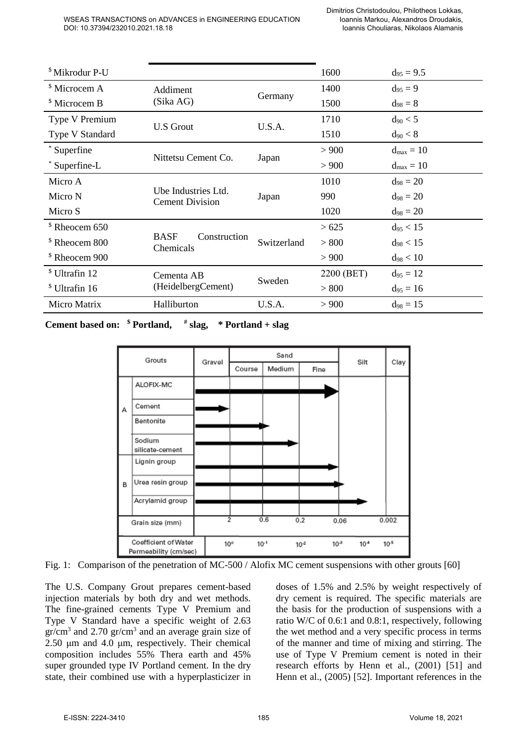| <sup>\$</sup> Mikrodur P-U |                                               |             | 1600       | $d_{95} = 9.5$        |
|----------------------------|-----------------------------------------------|-------------|------------|-----------------------|
| <sup>\$</sup> Microcem A   | Addiment                                      | Germany     | 1400       | $d_{95} = 9$          |
| <sup>\$</sup> Microcem B   | (Sika AG)                                     |             | 1500       | $d_{98} = 8$          |
| Type V Premium             |                                               | U.S.A.      | 1710       | $d_{90} < 5$          |
| Type V Standard            | <b>U.S Grout</b>                              |             | 1510       | $d_{90} < 8$          |
| * Superfine                |                                               | Japan       | > 900      | $d_{\text{max}} = 10$ |
| Superfine-L                | Nittetsu Cement Co.                           |             | > 900      | $d_{\text{max}} = 10$ |
| Micro A                    | Ube Industries Ltd.<br><b>Cement Division</b> | Japan       | 1010       | $d_{98} = 20$         |
| Micro N                    |                                               |             | 990        | $d_{98} = 20$         |
| Micro S                    |                                               |             | 1020       | $d_{98} = 20$         |
| <sup>\$</sup> Rheocem 650  | <b>BASF</b><br>Construction<br>Chemicals      | Switzerland | >625       | $d_{95} < 15$         |
| <sup>\$</sup> Rheocem 800  |                                               |             | > 800      | $d_{98}$ < 15         |
| <sup>\$</sup> Rheocem 900  |                                               |             | > 900      | $d_{98}$ < 10         |
| <sup>\$</sup> Ultrafin 12  | Cementa AB                                    | Sweden      | 2200 (BET) | $d_{95} = 12$         |
| <sup>\$</sup> Ultrafin 16  | (HeidelbergCement)                            |             | > 800      | $d_{95} = 16$         |
| Micro Matrix               | Halliburton                                   | U.S.A.      | > 900      | $d_{98} = 15$         |

**Cement based on: \$ Portland, # slag, \* Portland + slag** 



Fig. 1: Comparison of the penetration of MC-500 / Alofix MC cement suspensions with other grouts [60]

The U.S. Company Grout prepares cement-based injection materials by both dry and wet methods. The fine-grained cements Type V Premium and Type V Standard have a specific weight of 2.63  $gr/cm<sup>3</sup>$  and 2.70  $gr/cm<sup>3</sup>$  and an average grain size of 2.50 μm and 4.0 μm, respectively. Their chemical composition includes 55% Thera earth and 45% super grounded type IV Portland cement. In the dry state, their combined use with a hyperplasticizer in

doses of 1.5% and 2.5% by weight respectively of dry cement is required. The specific materials are the basis for the production of suspensions with a ratio W/C of 0.6:1 and 0.8:1, respectively, following the wet method and a very specific process in terms of the manner and time of mixing and stirring. The use of Type V Premium cement is noted in their research efforts by Henn et al., (2001) [51] and Henn et al., (2005) [52]. Important references in the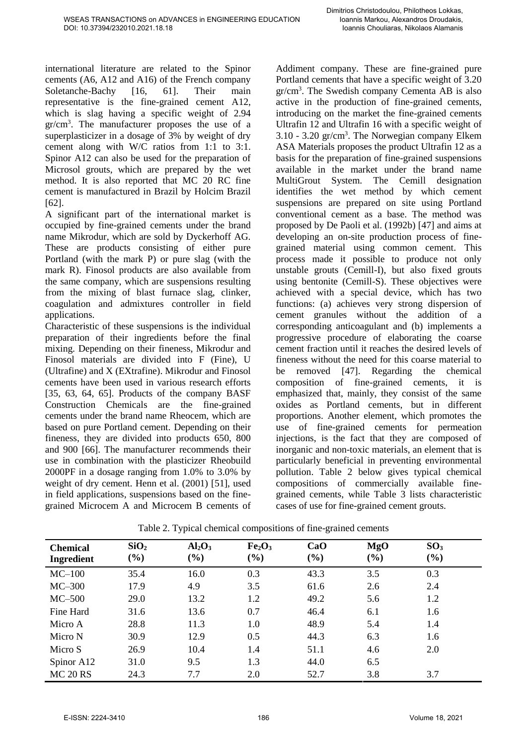international literature are related to the Spinor cements (A6, A12 and A16) of the French company Soletanche-Bachy [16, 61]. Their main representative is the fine-grained cement A12, which is slag having a specific weight of 2.94 gr/cm<sup>3</sup> . The manufacturer proposes the use of a superplasticizer in a dosage of 3% by weight of dry cement along with W/C ratios from 1:1 to 3:1. Spinor A12 can also be used for the preparation of Microsol grouts, which are prepared by the wet method. It is also reported that MC 20 RC fine cement is manufactured in Brazil by Holcim Brazil [62].

A significant part of the international market is occupied by fine-grained cements under the brand name Mikrodur, which are sold by Dyckerhoff AG. These are products consisting of either pure Portland (with the mark P) or pure slag (with the mark R). Finosol products are also available from the same company, which are suspensions resulting from the mixing of blast furnace slag, clinker, coagulation and admixtures controller in field applications.

Characteristic of these suspensions is the individual preparation of their ingredients before the final mixing. Depending on their fineness, Mikrodur and Finosol materials are divided into F (Fine), U (Ultrafine) and X (EXtrafine). Mikrodur and Finosol cements have been used in various research efforts [35, 63, 64, 65]. Products of the company BASF Construction Chemicals are the fine-grained cements under the brand name Rheocem, which are based on pure Portland cement. Depending on their fineness, they are divided into products 650, 800 and 900 [66]. The manufacturer recommends their use in combination with the plasticizer Rheobuild 2000PF in a dosage ranging from 1.0% to 3.0% by weight of dry cement. Henn et al. (2001) [51], used in field applications, suspensions based on the finegrained Microcem A and Microcem B cements of Addiment company. These are fine-grained pure Portland cements that have a specific weight of 3.20 gr/cm<sup>3</sup> . The Swedish company Cementa AB is also active in the production of fine-grained cements, introducing on the market the fine-grained cements Ultrafin 12 and Ultrafin 16 with a specific weight of 3.10 - 3.20 gr/cm<sup>3</sup> . The Norwegian company Elkem ASA Materials proposes the product Ultrafin 12 as a basis for the preparation of fine-grained suspensions available in the market under the brand name MultiGrout System. The Cemill designation identifies the wet method by which cement suspensions are prepared on site using Portland conventional cement as a base. The method was proposed by De Paoli et al. (1992b) [47] and aims at developing an on-site production process of finegrained material using common cement. This process made it possible to produce not only unstable grouts (Cemill-I), but also fixed grouts using bentonite (Cemill-S). These objectives were achieved with a special device, which has two functions: (a) achieves very strong dispersion of cement granules without the addition of a corresponding anticoagulant and (b) implements a progressive procedure of elaborating the coarse cement fraction until it reaches the desired levels of fineness without the need for this coarse material to be removed [47]. Regarding the chemical composition of fine-grained cements, it is emphasized that, mainly, they consist of the same oxides as Portland cements, but in different proportions. Another element, which promotes the use of fine-grained cements for permeation injections, is the fact that they are composed of inorganic and non-toxic materials, an element that is particularly beneficial in preventing environmental pollution. Table 2 below gives typical chemical compositions of commercially available finegrained cements, while Table 3 lists characteristic cases of use for fine-grained cement grouts.

| <b>Chemical</b><br>Ingredient | SiO <sub>2</sub><br>$(\%)$ | Al <sub>2</sub> O <sub>3</sub><br>$\left( \frac{6}{6} \right)$ | Fe <sub>2</sub> O <sub>3</sub><br>$(\%)$ | CaO<br>(%) | MgO<br>$(\%)$ | SO <sub>3</sub><br>(%) |  |
|-------------------------------|----------------------------|----------------------------------------------------------------|------------------------------------------|------------|---------------|------------------------|--|
| $MC-100$                      | 35.4                       | 16.0                                                           | 0.3                                      | 43.3       | 3.5           | 0.3                    |  |
| $MC-300$                      | 17.9                       | 4.9                                                            | 3.5                                      | 61.6       | 2.6           | 2.4                    |  |
| $MC-500$                      | 29.0                       | 13.2                                                           | 1.2                                      | 49.2       | 5.6           | 1.2                    |  |
| Fine Hard                     | 31.6                       | 13.6                                                           | 0.7                                      | 46.4       | 6.1           | 1.6                    |  |
| Micro A                       | 28.8                       | 11.3                                                           | 1.0                                      | 48.9       | 5.4           | 1.4                    |  |
| Micro N                       | 30.9                       | 12.9                                                           | 0.5                                      | 44.3       | 6.3           | 1.6                    |  |
| Micro S                       | 26.9                       | 10.4                                                           | 1.4                                      | 51.1       | 4.6           | 2.0                    |  |
| Spinor A12                    | 31.0                       | 9.5                                                            | 1.3                                      | 44.0       | 6.5           |                        |  |
| <b>MC 20 RS</b>               | 24.3                       | 7.7                                                            | 2.0                                      | 52.7       | 3.8           | 3.7                    |  |

Table 2. Typical chemical compositions of fine-grained cements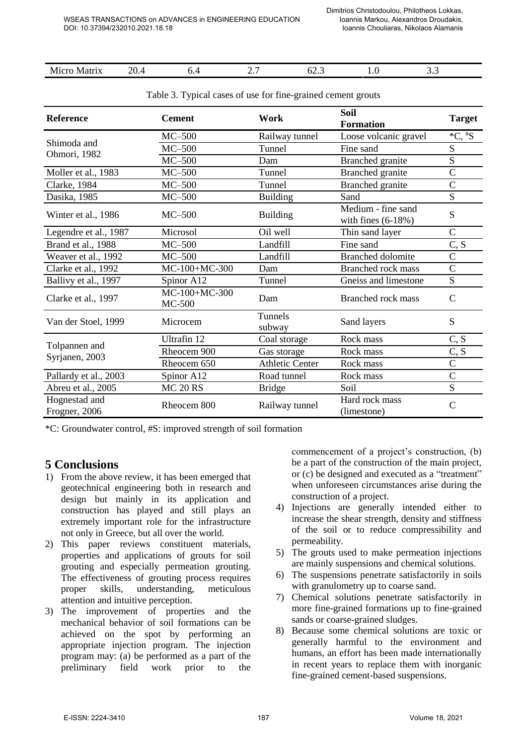Micro Matrix 20.4 6.4 2.7 62.3 1.0 3.3

| Table 3. Typical cases of use for fine-grained cement grouts |  |
|--------------------------------------------------------------|--|
|--------------------------------------------------------------|--|

| <b>Reference</b>                | <b>Cement</b>                  | Work                   | <b>Soil</b><br><b>Formation</b>            | <b>Target</b>      |
|---------------------------------|--------------------------------|------------------------|--------------------------------------------|--------------------|
| Shimoda and                     | $MC-500$                       | Railway tunnel         | Loose volcanic gravel                      | $*C, \overline{5}$ |
| Ohmori, 1982                    | $MC-500$                       | Tunnel                 | Fine sand                                  | S                  |
|                                 | $MC-500$                       | Dam                    | Branched granite                           | ${\bf S}$          |
| Moller et al., 1983             | $MC-500$                       | Tunnel                 | Branched granite                           | $\mathcal{C}$      |
| Clarke, 1984                    | $MC-500$                       | Tunnel                 | Branched granite                           | $\overline{C}$     |
| Dasika, 1985                    | $MC-500$                       | <b>Building</b>        | Sand                                       | S                  |
| Winter et al., 1986             | $MC-500$                       | <b>Building</b>        | Medium - fine sand<br>with fines $(6-18%)$ | S                  |
| Legendre et al., 1987           | Microsol                       | Oil well               | Thin sand layer                            | $\overline{C}$     |
| Brand et al., 1988              | $MC-500$                       | Landfill               | Fine sand                                  | C, S               |
| Weaver et al., 1992             | $MC-500$                       | Landfill               | <b>Branched dolomite</b>                   | $\overline{C}$     |
| Clarke et al., 1992             | MC-100+MC-300                  | Dam                    | <b>Branched rock mass</b>                  | $\mathcal{C}$      |
| Ballivy et al., 1997            | Spinor A12                     | Tunnel                 | Gneiss and limestone                       | S                  |
| Clarke et al., 1997             | MC-100+MC-300<br><b>MC-500</b> | Dam                    | <b>Branched rock mass</b>                  | $\mathcal{C}$      |
| Van der Stoel, 1999             | Microcem                       | Tunnels<br>subway      | Sand layers                                | S                  |
|                                 | Ultrafin 12                    | Coal storage           | Rock mass                                  | C, S               |
| Tolpannen and<br>Syrjanen, 2003 | Rheocem 900                    | Gas storage            | Rock mass                                  | C, S               |
|                                 | Rheocem 650                    | <b>Athletic Center</b> | Rock mass                                  | $\mathcal{C}$      |
| Pallardy et al., 2003           | Spinor A12                     | Road tunnel            | Rock mass                                  | $\overline{C}$     |
| Abreu et al., 2005              | <b>MC 20 RS</b>                | <b>Bridge</b>          | Soil                                       | S                  |
| Hognestad and<br>Frogner, 2006  | Rheocem 800                    | Railway tunnel         | Hard rock mass<br>(limestone)              | $\mathcal{C}$      |

\*C: Groundwater control, #S: improved strength of soil formation

## **5 Conclusions**

- 1) From the above review, it has been emerged that geotechnical engineering both in research and design but mainly in its application and construction has played and still plays an extremely important role for the infrastructure not only in Greece, but all over the world.
- 2) This paper reviews constituent materials, properties and applications of grouts for soil grouting and especially permeation grouting. The effectiveness of grouting process requires proper skills, understanding, meticulous attention and intuitive perception.
- 3) The improvement of properties and the mechanical behavior of soil formations can be achieved on the spot by performing an appropriate injection program. The injection program may: (a) be performed as a part of the preliminary field work prior to the

commencement of a project's construction, (b) be a part of the construction of the main project, or (c) be designed and executed as a "treatment" when unforeseen circumstances arise during the construction of a project.

- 4) Injections are generally intended either to increase the shear strength, density and stiffness of the soil or to reduce compressibility and permeability.
- 5) The grouts used to make permeation injections are mainly suspensions and chemical solutions.
- 6) The suspensions penetrate satisfactorily in soils with granulometry up to coarse sand.
- 7) Chemical solutions penetrate satisfactorily in more fine-grained formations up to fine-grained sands or coarse-grained sludges.
- 8) Because some chemical solutions are toxic or generally harmful to the environment and humans, an effort has been made internationally in recent years to replace them with inorganic fine-grained cement-based suspensions.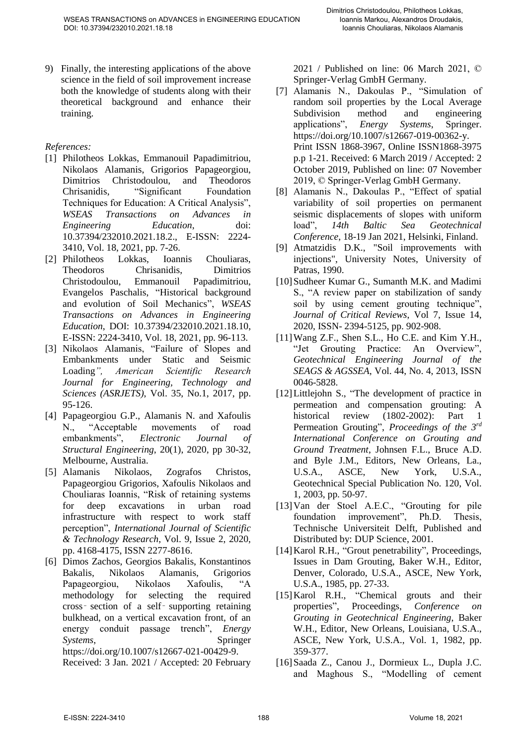9) Finally, the interesting applications of the above science in the field of soil improvement increase both the knowledge of students along with their theoretical background and enhance their training.

#### *References:*

- [1] Philotheos Lokkas, Emmanouil Papadimitriou, Nikolaos Alamanis, Grigorios Papageorgiou, Dimitrios Christodoulou, and Theodoros Chrisanidis, "Significant Foundation Techniques for Education: A Critical Analysis", *WSEAS Transactions on Advances in Engineering Education*, doi: 10.37394/232010.2021.18.2., E-ISSN: 2224- 3410, Vol. 18, 2021, pp. 7-26.
- [2] Philotheos Lokkas, Ioannis Chouliaras, Theodoros Chrisanidis, Dimitrios Christodoulou, Emmanouil Papadimitriou, Evangelos Paschalis, "Historical background and evolution of Soil Mechanics", *WSEAS Transactions on Advances in Engineering Education*, DOI: 10.37394/232010.2021.18.10, E-ISSN: 2224-3410, Vol. 18, 2021, pp. 96-113.
- [3] Nikolaos Alamanis, "Failure of Slopes and Embankments under Static and Seismic Loading*", American Scientific Research Journal for Engineering, Technology and Sciences (ASRJETS)*, Vol. 35, No.1, 2017, pp. 95-126.
- [4] Papageorgiou G.P., Alamanis N. and Xafoulis N., "Acceptable movements of road embankments", *Electronic Journal of Structural Engineering*, 20(1), 2020, pp 30-32, Melbourne, Australia.
- [5] Alamanis Nikolaos, Zografos Christos, Papageorgiou Grigorios, Xafoulis Nikolaos and Chouliaras Ioannis, "Risk of retaining systems for deep excavations in urban road infrastructure with respect to work staff perception", *International Journal of Scientific & Technology Research*, Vol. 9, Issue 2, 2020, pp. 4168-4175, ISSN 2277-8616.
- [6] Dimos Zachos, Georgios Bakalis, Konstantinos Bakalis, Nikolaos Alamanis, Grigorios Papageorgiou, Nikolaos Xafoulis, "A methodology for selecting the required cross‑ section of a self‑ supporting retaining bulkhead, on a vertical excavation front, of an energy conduit passage trench", *Energy Systems*, Springer https://doi.org/10.1007/s12667-021-00429-9.

Received: 3 Jan. 2021 / Accepted: 20 February

2021 / Published on line: 06 March 2021, © Springer-Verlag GmbH Germany.

- [7] Alamanis N., Dakoulas P., "Simulation of random soil properties by the Local Average Subdivision method and engineering applications", *Energy Systems*, Springer. https://doi.org/10.1007/s12667-019-00362-y. Print ISSN 1868-3967, Online ISSN1868-3975 p.p 1-21. Received: 6 March 2019 / Accepted: 2 October 2019, Published on line: 07 November 2019, © Springer-Verlag GmbH Germany.
- [8] Alamanis N., Dakoulas P., "Effect of spatial variability of soil properties on permanent seismic displacements of slopes with uniform load", *14th Baltic Sea Geotechnical Conference*, 18-19 Jan 2021, Helsinki, Finland.
- [9] Atmatzidis D.K., "Soil improvements with injections", University Notes, University of Patras, 1990.
- [10] Sudheer Kumar G., Sumanth M.K. and Madimi S., "A review paper on stabilization of sandy soil by using cement grouting technique", *Journal of Critical Reviews*, Vol 7, Issue 14, 2020, ISSN- 2394-5125, pp. 902-908.
- [11] Wang Z.F., Shen S.L., Ho C.E. and Kim Y.H., "Jet Grouting Practice: An Overview", *Geotechnical Engineering Journal of the SEAGS & AGSSEA*, Vol. 44, No. 4, 2013, ISSN 0046-5828.
- [12] Littlejohn S., "The development of practice in permeation and compensation grouting: A historical review (1802-2002): Part 1 Permeation Grouting", *Proceedings of the 3rd International Conference on Grouting and Ground Treatment*, Johnsen F.L., Bruce A.D. and Byle J.M., Editors, New Orleans, La., U.S.A., ASCE, New York, U.S.A., Geotechnical Special Publication No. 120, Vol. 1, 2003, pp. 50-97.
- [13] Van der Stoel A.E.C., "Grouting for pile foundation improvement", Ph.D. Thesis, Technische Universiteit Delft, Published and Distributed by: DUP Science, 2001.
- [14] Karol R.H., "Grout penetrability", Proceedings, Issues in Dam Grouting, Baker W.H., Editor, Denver, Colorado, U.S.A., ASCE, New York, U.S.A., 1985, pp. 27-33.
- [15] Karol R.H., "Chemical grouts and their properties", Proceedings, *Conference on Grouting in Geotechnical Engineering*, Baker W.H., Editor, New Orleans, Louisiana, U.S.A., ASCE, New York, U.S.A., Vol. 1, 1982, pp. 359-377.
- [16] Saada Z., Canou J., Dormieux L., Dupla J.C. and Maghous S., "Modelling of cement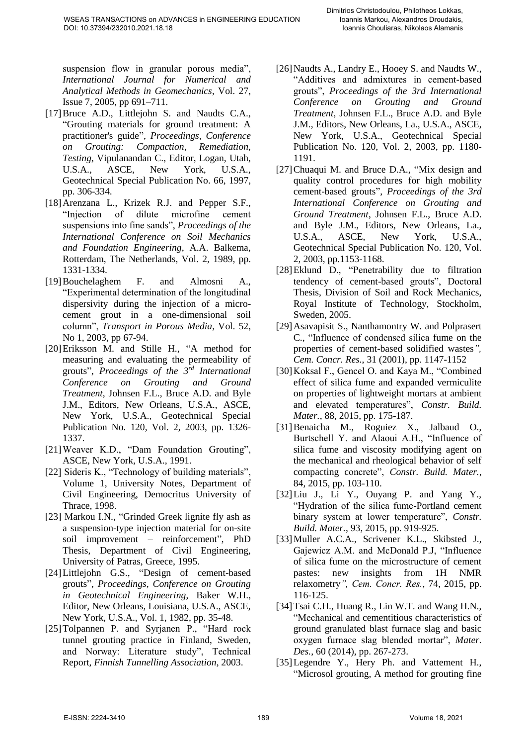suspension flow in granular porous media", *International Journal for Numerical and Analytical Methods in Geomechanics*, Vol. 27, Issue 7, 2005, pp 691–711.

- [17] Bruce A.D., Littlejohn S. and Naudts C.A., "Grouting materials for ground treatment: A practitioner's guide", *Proceedings, Conference on Grouting: Compaction, Remediation, Testing*, Vipulanandan C., Editor, Logan, Utah, U.S.A., ASCE, New York, U.S.A., Geotechnical Special Publication No. 66, 1997, pp. 306-334.
- [18] Arenzana L., Krizek R.J. and Pepper S.F., "Injection of dilute microfine cement suspensions into fine sands", *Proceedings of the International Conference on Soil Mechanics and Foundation Engineering*, A.A. Balkema, Rotterdam, The Netherlands, Vol. 2, 1989, pp. 1331-1334.
- [19] Bouchelaghem F. and Almosni A., "Experimental determination of the longitudinal dispersivity during the injection of a microcement grout in a one-dimensional soil column", *Transport in Porous Media*, Vol. 52, No 1, 2003, pp 67-94.
- [20] Eriksson M. and Stille H., "A method for measuring and evaluating the permeability of grouts", *Proceedings of the 3rd International Conference on Grouting and Ground Treatment*, Johnsen F.L., Bruce A.D. and Byle J.M., Editors, New Orleans, U.S.A., ASCE, New York, U.S.A., Geotechnical Special Publication No. 120, Vol. 2, 2003, pp. 1326- 1337.
- [21] Weaver K.D., "Dam Foundation Grouting", ASCE, New York, U.S.A., 1991.
- [22] Sideris K., "Technology of building materials". Volume 1, University Notes, Department of Civil Engineering, Democritus University of Thrace, 1998.
- [23] Markou I.N., "Grinded Greek lignite fly ash as a suspension-type injection material for on-site soil improvement – reinforcement", PhD Thesis, Department of Civil Engineering, University of Patras, Greece, 1995.
- [24] Littlejohn G.S., "Design of cement-based grouts", *Proceedings, Conference on Grouting in Geotechnical Engineering*, Baker W.H., Editor, New Orleans, Louisiana, U.S.A., ASCE, New York, U.S.A., Vol. 1, 1982, pp. 35-48.
- [25] Tolpannen P. and Syrjanen P., "Hard rock tunnel grouting practice in Finland, Sweden, and Norway: Literature study", Technical Report, *Finnish Tunnelling Association*, 2003.
- [26] Naudts A., Landry E., Hooey S. and Naudts W., "Additives and admixtures in cement-based grouts", *Proceedings of the 3rd International Conference on Grouting and Ground Treatment*, Johnsen F.L., Bruce A.D. and Byle J.M., Editors, New Orleans, La., U.S.A., ASCE, New York, U.S.A., Geotechnical Special Publication No. 120, Vol. 2, 2003, pp. 1180- 1191.
- [27] Chuaqui M. and Bruce D.A., "Mix design and quality control procedures for high mobility cement-based grouts", *Proceedings of the 3rd International Conference on Grouting and Ground Treatment*, Johnsen F.L., Bruce A.D. and Byle J.M., Editors, New Orleans, La., U.S.A., ASCE, New York, U.S.A., Geotechnical Special Publication No. 120, Vol. 2, 2003, pp.1153-1168.
- [28] Eklund D., "Penetrability due to filtration tendency of cement-based grouts", Doctoral Thesis, Division of Soil and Rock Mechanics, Royal Institute of Technology, Stockholm, Sweden, 2005.
- [29] Asavapisit S., Nanthamontry W. and Polprasert C., "Influence of condensed silica fume on the properties of cement-based solidified wastes*", Cem. Concr. Res.*, 31 (2001), pp. 1147-1152
- [30] Koksal F., Gencel O. and Kaya M., "Combined effect of silica fume and expanded vermiculite on properties of lightweight mortars at ambient and elevated temperatures", *Constr. Build. Mater.*, 88, 2015, pp. 175-187.
- [31] Benaicha M., Roguiez X., Jalbaud O., Burtschell Y. and Alaoui A.H., "Influence of silica fume and viscosity modifying agent on the mechanical and rheological behavior of self compacting concrete", *Constr. Build. Mater.*, 84, 2015, pp. 103-110.
- [32] Liu J., Li Y., Ouyang P. and Yang Y., "Hydration of the silica fume-Portland cement binary system at lower temperature", *Constr. Build. Mater.*, 93, 2015, pp. 919-925.
- [33] Muller A.C.A., Scrivener K.L., Skibsted J., Gajewicz A.M. and McDonald P.J, "Influence of silica fume on the microstructure of cement pastes: new insights from 1H NMR relaxometry*", Cem. Concr. Res.*, 74, 2015, pp. 116-125.
- [34] Tsai C.H., Huang R., Lin W.T. and Wang H.N., "Mechanical and cementitious characteristics of ground granulated blast furnace slag and basic oxygen furnace slag blended mortar", *Mater. Des.*, 60 (2014), pp. 267-273.
- [35] Legendre Y., Hery Ph. and Vattement H., "Microsol grouting, A method for grouting fine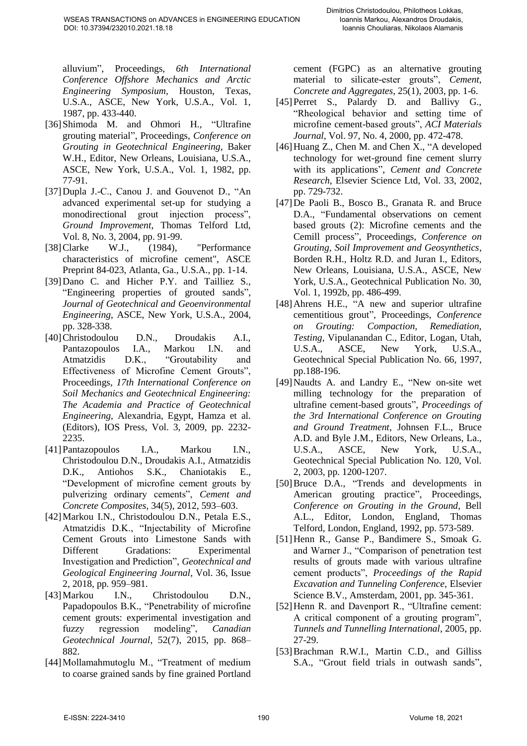alluvium", Proceedings, *6th International Conference Offshore Mechanics and Arctic Engineering Symposium*, Houston, Texas, U.S.A., ASCE, New York, U.S.A., Vol. 1, 1987, pp. 433-440.

- [36] Shimoda M. and Ohmori H., "Ultrafine grouting material", Proceedings, *Conference on Grouting in Geotechnical Engineering*, Baker W.H., Editor, New Orleans, Louisiana, U.S.A., ASCE, New York, U.S.A., Vol. 1, 1982, pp. 77-91.
- [37] Dupla J.-C., Canou J. and Gouvenot D., "An advanced experimental set-up for studying a monodirectional grout injection process", *Ground Improvement*, Thomas Telford Ltd, Vol. 8, No. 3, 2004, pp. 91-99.
- [38] Clarke W.J., (1984), "Performance characteristics of microfine cement", ASCE Preprint 84-023, Atlanta, Ga., U.S.A., pp. 1-14.
- [39] Dano C. and Hicher P.Y. and Tailliez S., "Engineering properties of grouted sands", *Journal of Geotechnical and Geoenvironmental Engineering*, ASCE, New York, U.S.A., 2004, pp. 328-338.
- [40] Christodoulou D.N., Droudakis A.I., Pantazopoulos I.A., Markou I.N. and Atmatzidis D.K., "Groutability and Effectiveness of Microfine Cement Grouts", Proceedings, *17th International Conference on Soil Mechanics and Geotechnical Engineering: The Academia and Practice of Geotechnical Engineering*, Alexandria, Egypt, Hamza et al. (Editors), IOS Press, Vol. 3, 2009, pp. 2232- 2235.
- [41] Pantazopoulos I.A., Markou I.N., Christodoulou D.N., Droudakis A.I., Atmatzidis D.K., Antiohos S.K., Chaniotakis E., "Development of microfine cement grouts by pulverizing ordinary cements", *Cement and Concrete Composites*, 34(5), 2012, 593–603.
- [42] Markou I.N., Christodoulou D.N., Petala E.S., Atmatzidis D.K., "Injectability of Microfine Cement Grouts into Limestone Sands with Different Gradations: Experimental Investigation and Prediction", *Geotechnical and Geological Engineering Journal*, Vol. 36, Issue 2, 2018, pp. 959–981.
- [43] Markou I.N., Christodoulou D.N., Papadopoulos B.K., "Penetrability of microfine cement grouts: experimental investigation and fuzzy regression modeling", *Canadian Geotechnical Journal*, 52(7), 2015, pp. 868– 882.
- [44] Mollamahmutoglu M., "Treatment of medium to coarse grained sands by fine grained Portland

cement (FGPC) as an alternative grouting material to silicate-ester grouts", *Cement, Concrete and Aggregates*, 25(1), 2003, pp. 1-6.

- [45] Perret S., Palardy D. and Ballivy G., "Rheological behavior and setting time of microfine cement-based grouts", *ACI Materials Journal*, Vol. 97, No. 4, 2000, pp. 472-478.
- [46] Huang Z., Chen M. and Chen X., "A developed technology for wet-ground fine cement slurry with its applications", *Cement and Concrete Research*, Elsevier Science Ltd, Vol. 33, 2002, pp. 729-732.
- [47] De Paoli B., Bosco B., Granata R. and Bruce D.A., "Fundamental observations on cement based grouts (2): Microfine cements and the Cemill process", Proceedings, *Conference on Grouting, Soil Improvement and Geosynthetics*, Borden R.H., Holtz R.D. and Juran I., Editors, New Orleans, Louisiana, U.S.A., ASCE, New York, U.S.A., Geotechnical Publication No. 30, Vol. 1, 1992b, pp. 486-499.
- [48] Ahrens H.E., "A new and superior ultrafine cementitious grout", Proceedings, *Conference on Grouting: Compaction, Remediation, Testing*, Vipulanandan C., Editor, Logan, Utah, U.S.A., ASCE, New York, U.S.A., Geotechnical Special Publication No. 66, 1997, pp.188-196.
- [49] Naudts A. and Landry E., "New on-site wet milling technology for the preparation of ultrafine cement-based grouts", *Proceedings of the 3rd International Conference on Grouting and Ground Treatment*, Johnsen F.L., Bruce A.D. and Byle J.M., Editors, New Orleans, La., U.S.A., ASCE, New York, U.S.A., Geotechnical Special Publication No. 120, Vol. 2, 2003, pp. 1200-1207.
- [50] Bruce D.A., "Trends and developments in American grouting practice", Proceedings, *Conference on Grouting in the Ground*, Bell A.L., Editor, London, England, Thomas Telford, London, England, 1992, pp. 573-589.
- [51] Henn R., Ganse P., Bandimere S., Smoak G. and Warner J., "Comparison of penetration test results of grouts made with various ultrafine cement products", *Proceedings of the Rapid Excavation and Tunneling Conference*, Elsevier Science B.V., Amsterdam, 2001, pp. 345-361.
- [52] Henn R. and Davenport R., "Ultrafine cement: A critical component of a grouting program", *Tunnels and Tunnelling International*, 2005, pp. 27-29.
- [53] Brachman R.W.I., Martin C.D., and Gilliss S.A., "Grout field trials in outwash sands",